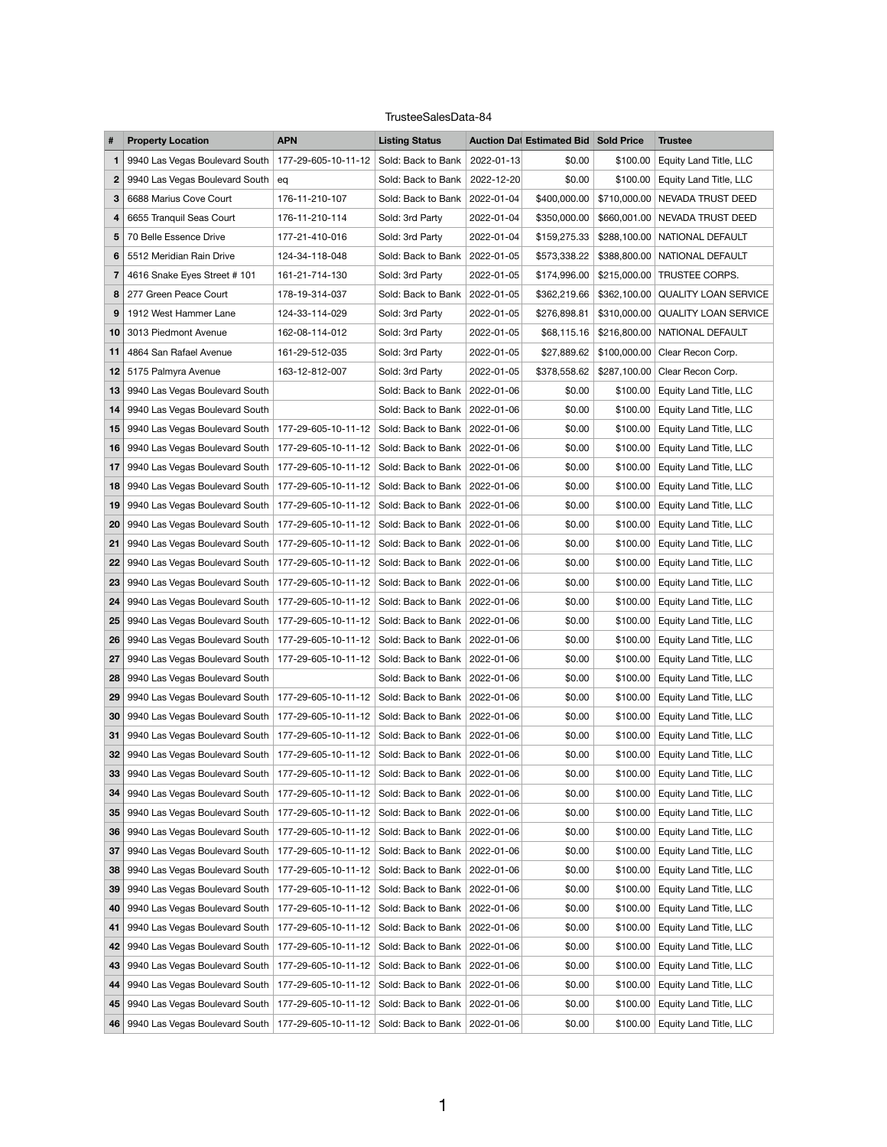## TrusteeSalesData-84

| #                 | <b>Property Location</b>                                                               | <b>APN</b>                                        | <b>Listing Status</b>           | <b>Auction Dat Estimated Bid Sold Price</b> |              | <b>Trustee</b>                  |
|-------------------|----------------------------------------------------------------------------------------|---------------------------------------------------|---------------------------------|---------------------------------------------|--------------|---------------------------------|
| $\mathbf 1$       | 9940 Las Vegas Boulevard South                                                         | 177-29-605-10-11-12                               | Sold: Back to Bank              | 2022-01-13<br>\$0.00                        | \$100.00     | Equity Land Title, LLC          |
| $\mathbf{2}$      | 9940 Las Vegas Boulevard South                                                         | eq                                                | Sold: Back to Bank              | 2022-12-20<br>\$0.00                        | \$100.00     | Equity Land Title, LLC          |
| 3                 | 6688 Marius Cove Court                                                                 | 176-11-210-107                                    | Sold: Back to Bank              | 2022-01-04<br>\$400,000.00                  | \$710,000.00 | NEVADA TRUST DEED               |
| 4                 | 6655 Tranquil Seas Court                                                               | 176-11-210-114                                    | Sold: 3rd Party                 | \$350,000.00<br>2022-01-04                  | \$660,001.00 | NEVADA TRUST DEED               |
| 5                 | 70 Belle Essence Drive                                                                 | 177-21-410-016                                    | Sold: 3rd Party                 | 2022-01-04<br>\$159,275.33                  | \$288,100.00 | NATIONAL DEFAULT                |
| 6                 | 5512 Meridian Rain Drive                                                               | 124-34-118-048                                    | Sold: Back to Bank              | 2022-01-05<br>\$573,338.22                  | \$388,800.00 | NATIONAL DEFAULT                |
| $\overline{7}$    | 4616 Snake Eyes Street # 101                                                           | 161-21-714-130                                    | Sold: 3rd Party                 | \$174,996.00<br>2022-01-05                  | \$215,000.00 | TRUSTEE CORPS.                  |
| 8                 | 277 Green Peace Court                                                                  | 178-19-314-037                                    | Sold: Back to Bank              | 2022-01-05<br>\$362,219.66                  | \$362,100.00 | <b>QUALITY LOAN SERVICE</b>     |
| 9                 | 1912 West Hammer Lane                                                                  | 124-33-114-029                                    | Sold: 3rd Party                 | 2022-01-05<br>\$276,898.81                  | \$310,000.00 | <b>QUALITY LOAN SERVICE</b>     |
| 10                | 3013 Piedmont Avenue                                                                   | 162-08-114-012                                    | Sold: 3rd Party                 | 2022-01-05<br>\$68,115.16                   | \$216,800.00 | NATIONAL DEFAULT                |
| 11                | 4864 San Rafael Avenue                                                                 | 161-29-512-035                                    | Sold: 3rd Party                 | \$27,889.62<br>2022-01-05                   | \$100,000.00 | Clear Recon Corp.               |
| 12                | 5175 Palmyra Avenue                                                                    | 163-12-812-007                                    | Sold: 3rd Party                 | 2022-01-05<br>\$378,558.62                  | \$287,100.00 | Clear Recon Corp.               |
| 13                | 9940 Las Vegas Boulevard South                                                         |                                                   | Sold: Back to Bank              | 2022-01-06<br>\$0.00                        | \$100.00     | Equity Land Title, LLC          |
| 14                | 9940 Las Vegas Boulevard South                                                         |                                                   | Sold: Back to Bank              | 2022-01-06<br>\$0.00                        | \$100.00     | Equity Land Title, LLC          |
| 15                | 9940 Las Vegas Boulevard South                                                         | 177-29-605-10-11-12                               | Sold: Back to Bank              | 2022-01-06<br>\$0.00                        | \$100.00     | Equity Land Title, LLC          |
| 16                | 9940 Las Vegas Boulevard South                                                         | 177-29-605-10-11-12                               | Sold: Back to Bank              | 2022-01-06<br>\$0.00                        | \$100.00     | Equity Land Title, LLC          |
| 17                | 9940 Las Vegas Boulevard South                                                         | 177-29-605-10-11-12                               | Sold: Back to Bank              | 2022-01-06<br>\$0.00                        | \$100.00     | Equity Land Title, LLC          |
| 18                | 9940 Las Vegas Boulevard South                                                         | 177-29-605-10-11-12                               | Sold: Back to Bank              | 2022-01-06<br>\$0.00                        | \$100.00     | Equity Land Title, LLC          |
| 19                | 9940 Las Vegas Boulevard South                                                         | 177-29-605-10-11-12                               | Sold: Back to Bank              | 2022-01-06<br>\$0.00                        | \$100.00     | Equity Land Title, LLC          |
| 20                | 9940 Las Vegas Boulevard South                                                         | 177-29-605-10-11-12                               | Sold: Back to Bank              | 2022-01-06<br>\$0.00                        | \$100.00     | Equity Land Title, LLC          |
| 21                | 9940 Las Vegas Boulevard South                                                         | 177-29-605-10-11-12                               | Sold: Back to Bank              | 2022-01-06<br>\$0.00                        | \$100.00     | Equity Land Title, LLC          |
| $22 \overline{ }$ | 9940 Las Vegas Boulevard South   177-29-605-10-11-12   Sold: Back to Bank   2022-01-06 |                                                   |                                 | \$0.00                                      | \$100.00     | <b>Equity Land Title, LLC</b>   |
| 23                | 9940 Las Vegas Boulevard South   177-29-605-10-11-12                                   |                                                   | Sold: Back to Bank   2022-01-06 | \$0.00                                      | \$100.00     | Equity Land Title, LLC          |
| 24                | 9940 Las Vegas Boulevard South                                                         | 177-29-605-10-11-12                               | Sold: Back to Bank   2022-01-06 | \$0.00                                      | \$100.00     | Equity Land Title, LLC          |
| 25                | 9940 Las Vegas Boulevard South   177-29-605-10-11-12                                   |                                                   | Sold: Back to Bank              | 2022-01-06<br>\$0.00                        | \$100.00     | Equity Land Title, LLC          |
| 26                | 9940 Las Vegas Boulevard South                                                         | 177-29-605-10-11-12                               | Sold: Back to Bank              | 2022-01-06<br>\$0.00                        | \$100.00     | <b>Equity Land Title, LLC</b>   |
| 27                | 9940 Las Vegas Boulevard South                                                         | 177-29-605-10-11-12                               | Sold: Back to Bank   2022-01-06 | \$0.00                                      | \$100.00     | Equity Land Title, LLC          |
| 28                | 9940 Las Vegas Boulevard South                                                         |                                                   | Sold: Back to Bank   2022-01-06 | \$0.00                                      | \$100.00     | <b>Equity Land Title, LLC</b>   |
| 29                | 9940 Las Vegas Boulevard South                                                         | 177-29-605-10-11-12 Sold: Back to Bank 2022-01-06 |                                 | \$0.00                                      | \$100.00     | Equity Land Title, LLC          |
| 30                | 9940 Las Vegas Boulevard South                                                         | 177-29-605-10-11-12                               | Sold: Back to Bank   2022-01-06 | \$0.00                                      | \$100.00     | Equity Land Title, LLC          |
| 31                | 9940 Las Vegas Boulevard South   177-29-605-10-11-12                                   |                                                   | Sold: Back to Bank              | \$0.00<br>2022-01-06                        | \$100.00     | Equity Land Title, LLC          |
| 32 <sub>2</sub>   | 9940 Las Vegas Boulevard South                                                         | 177-29-605-10-11-12                               | Sold: Back to Bank              | \$0.00<br>2022-01-06                        | \$100.00     | Equity Land Title, LLC          |
| 33                | 9940 Las Vegas Boulevard South                                                         | 177-29-605-10-11-12                               | Sold: Back to Bank              | 2022-01-06<br>\$0.00                        | \$100.00     | Equity Land Title, LLC          |
| 34                | 9940 Las Vegas Boulevard South   177-29-605-10-11-12                                   |                                                   | Sold: Back to Bank              | 2022-01-06<br>\$0.00                        | \$100.00     | Equity Land Title, LLC          |
| 35                | 9940 Las Vegas Boulevard South                                                         | 177-29-605-10-11-12                               | Sold: Back to Bank              | 2022-01-06<br>\$0.00                        | \$100.00     | Equity Land Title, LLC          |
| 36                | 9940 Las Vegas Boulevard South                                                         | 177-29-605-10-11-12                               | Sold: Back to Bank   2022-01-06 | \$0.00                                      | \$100.00     | Equity Land Title, LLC          |
| 37                | 9940 Las Vegas Boulevard South   177-29-605-10-11-12                                   |                                                   | Sold: Back to Bank              | \$0.00<br>2022-01-06                        | \$100.00     | Equity Land Title, LLC          |
| 38                | 9940 Las Vegas Boulevard South                                                         | 177-29-605-10-11-12                               | Sold: Back to Bank              | 2022-01-06<br>\$0.00                        | \$100.00     | Equity Land Title, LLC          |
| 39                | 9940 Las Vegas Boulevard South                                                         | 177-29-605-10-11-12                               | Sold: Back to Bank              | 2022-01-06<br>\$0.00                        | \$100.00     | Equity Land Title, LLC          |
| 40                | 9940 Las Vegas Boulevard South   177-29-605-10-11-12                                   |                                                   | Sold: Back to Bank   2022-01-06 | \$0.00                                      | \$100.00     | Equity Land Title, LLC          |
| 41                | 9940 Las Vegas Boulevard South                                                         | 177-29-605-10-11-12                               | Sold: Back to Bank              | 2022-01-06<br>\$0.00                        | \$100.00     | Equity Land Title, LLC          |
| 42                | 9940 Las Vegas Boulevard South                                                         | 177-29-605-10-11-12                               | Sold: Back to Bank              | 2022-01-06<br>\$0.00                        | \$100.00     | Equity Land Title, LLC          |
| 43                | 9940 Las Vegas Boulevard South   177-29-605-10-11-12                                   |                                                   | Sold: Back to Bank   2022-01-06 | \$0.00                                      | \$100.00     | Equity Land Title, LLC          |
| 44                | 9940 Las Vegas Boulevard South   177-29-605-10-11-12   Sold: Back to Bank   2022-01-06 |                                                   |                                 | \$0.00                                      |              | \$100.00 Equity Land Title, LLC |
| 45                | 9940 Las Vegas Boulevard South   177-29-605-10-11-12   Sold: Back to Bank              |                                                   |                                 | \$0.00<br>2022-01-06                        | \$100.00     | Equity Land Title, LLC          |
| 46                | 9940 Las Vegas Boulevard South   177-29-605-10-11-12   Sold: Back to Bank              |                                                   |                                 | \$0.00<br>2022-01-06                        |              | \$100.00 Equity Land Title, LLC |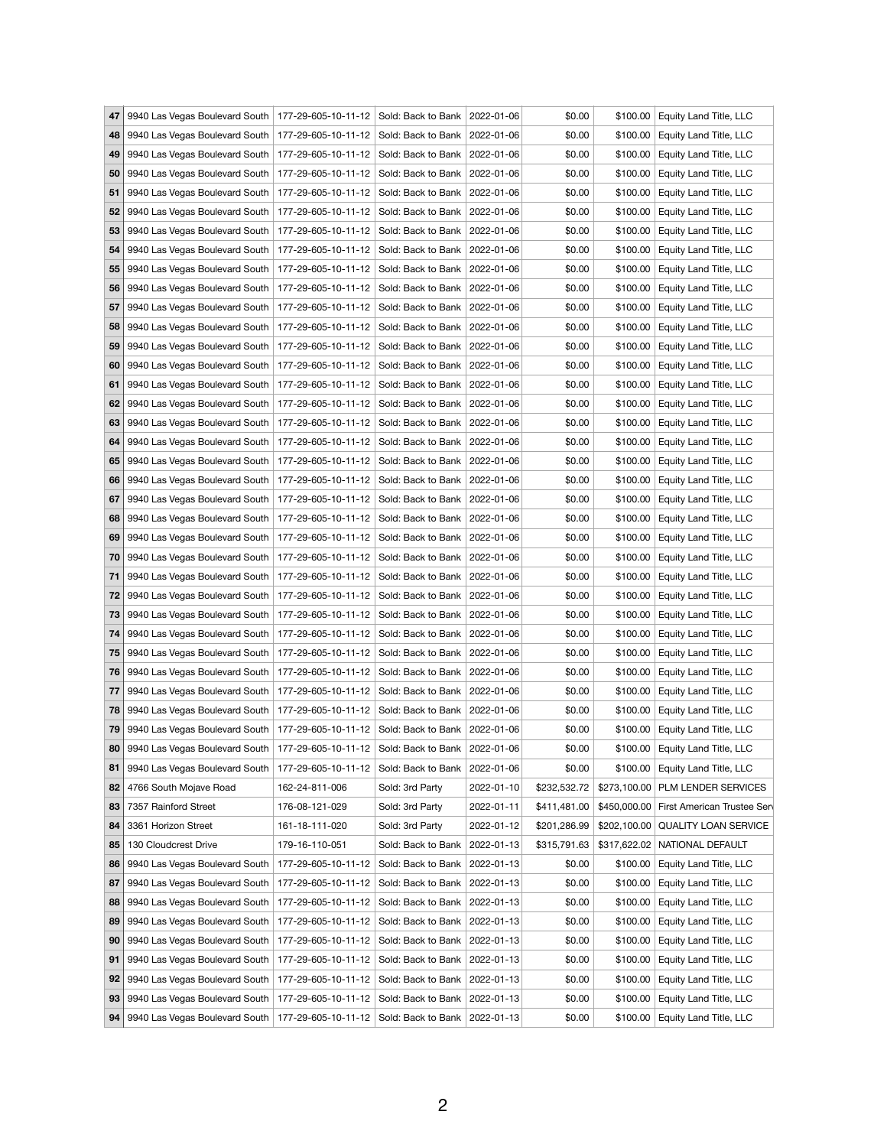| 47 | 9940 Las Vegas Boulevard South   177-29-605-10-11-12   Sold: Back to Bank   2022-01-06      |                |                                 |            | \$0.00       |          | \$100.00 Equity Land Title, LLC         |
|----|---------------------------------------------------------------------------------------------|----------------|---------------------------------|------------|--------------|----------|-----------------------------------------|
| 48 | 9940 Las Vegas Boulevard South   177-29-605-10-11-12                                        |                | Sold: Back to Bank   2022-01-06 |            | \$0.00       | \$100.00 | Equity Land Title, LLC                  |
| 49 | 9940 Las Vegas Boulevard South   177-29-605-10-11-12                                        |                | Sold: Back to Bank   2022-01-06 |            | \$0.00       | \$100.00 | Equity Land Title, LLC                  |
|    | 50 9940 Las Vegas Boulevard South   177-29-605-10-11-12                                     |                | Sold: Back to Bank   2022-01-06 |            | \$0.00       | \$100.00 | Equity Land Title, LLC                  |
| 51 | 9940 Las Vegas Boulevard South   177-29-605-10-11-12                                        |                | Sold: Back to Bank   2022-01-06 |            | \$0.00       | \$100.00 | Equity Land Title, LLC                  |
| 52 | 9940 Las Vegas Boulevard South   177-29-605-10-11-12                                        |                | Sold: Back to Bank   2022-01-06 |            | \$0.00       | \$100.00 | Equity Land Title, LLC                  |
|    | 53 9940 Las Vegas Boulevard South   177-29-605-10-11-12                                     |                | Sold: Back to Bank   2022-01-06 |            | \$0.00       | \$100.00 | Equity Land Title, LLC                  |
| 54 | 9940 Las Vegas Boulevard South   177-29-605-10-11-12                                        |                | Sold: Back to Bank   2022-01-06 |            | \$0.00       | \$100.00 | Equity Land Title, LLC                  |
| 55 | 9940 Las Vegas Boulevard South   177-29-605-10-11-12                                        |                | Sold: Back to Bank   2022-01-06 |            | \$0.00       | \$100.00 | Equity Land Title, LLC                  |
| 56 | 9940 Las Vegas Boulevard South   177-29-605-10-11-12                                        |                | Sold: Back to Bank   2022-01-06 |            | \$0.00       | \$100.00 | Equity Land Title, LLC                  |
| 57 | 9940 Las Vegas Boulevard South   177-29-605-10-11-12                                        |                | Sold: Back to Bank   2022-01-06 |            | \$0.00       | \$100.00 | Equity Land Title, LLC                  |
| 58 | 9940 Las Vegas Boulevard South   177-29-605-10-11-12                                        |                | Sold: Back to Bank   2022-01-06 |            | \$0.00       | \$100.00 | Equity Land Title, LLC                  |
|    |                                                                                             |                |                                 |            |              |          |                                         |
| 59 | 9940 Las Vegas Boulevard South   177-29-605-10-11-12                                        |                | Sold: Back to Bank   2022-01-06 |            | \$0.00       | \$100.00 | Equity Land Title, LLC                  |
| 60 | 9940 Las Vegas Boulevard South   177-29-605-10-11-12                                        |                | Sold: Back to Bank   2022-01-06 |            | \$0.00       | \$100.00 | Equity Land Title, LLC                  |
| 61 | 9940 Las Vegas Boulevard South   177-29-605-10-11-12                                        |                | Sold: Back to Bank   2022-01-06 |            | \$0.00       | \$100.00 | Equity Land Title, LLC                  |
| 62 | 9940 Las Vegas Boulevard South   177-29-605-10-11-12                                        |                | Sold: Back to Bank   2022-01-06 |            | \$0.00       | \$100.00 | Equity Land Title, LLC                  |
| 63 | 9940 Las Vegas Boulevard South   177-29-605-10-11-12                                        |                | Sold: Back to Bank   2022-01-06 |            | \$0.00       | \$100.00 | Equity Land Title, LLC                  |
| 64 | 9940 Las Vegas Boulevard South   177-29-605-10-11-12                                        |                | Sold: Back to Bank   2022-01-06 |            | \$0.00       | \$100.00 | Equity Land Title, LLC                  |
| 65 | 9940 Las Vegas Boulevard South   177-29-605-10-11-12                                        |                | Sold: Back to Bank   2022-01-06 |            | \$0.00       | \$100.00 | Equity Land Title, LLC                  |
| 66 | 9940 Las Vegas Boulevard South   177-29-605-10-11-12                                        |                | Sold: Back to Bank   2022-01-06 |            | \$0.00       | \$100.00 | Equity Land Title, LLC                  |
| 67 | 9940 Las Vegas Boulevard South   177-29-605-10-11-12                                        |                | Sold: Back to Bank   2022-01-06 |            | \$0.00       | \$100.00 | Equity Land Title, LLC                  |
| 68 | 9940 Las Vegas Boulevard South   177-29-605-10-11-12                                        |                | Sold: Back to Bank   2022-01-06 |            | \$0.00       | \$100.00 | Equity Land Title, LLC                  |
|    | 69   9940 Las Vegas Boulevard South   177-29-605-10-11-12   Sold: Back to Bank   2022-01-06 |                |                                 |            | \$0.00       | \$100.00 | <b>Equity Land Title, LLC</b>           |
|    | 70 9940 Las Vegas Boulevard South   177-29-605-10-11-12                                     |                | Sold: Back to Bank   2022-01-06 |            | \$0.00       |          | \$100.00 Equity Land Title, LLC         |
| 71 | 9940 Las Vegas Boulevard South   177-29-605-10-11-12                                        |                | Sold: Back to Bank   2022-01-06 |            | \$0.00       | \$100.00 | Equity Land Title, LLC                  |
| 72 | 9940 Las Vegas Boulevard South   177-29-605-10-11-12                                        |                | Sold: Back to Bank   2022-01-06 |            | \$0.00       | \$100.00 | Equity Land Title, LLC                  |
|    | 73 9940 Las Vegas Boulevard South   177-29-605-10-11-12                                     |                | Sold: Back to Bank   2022-01-06 |            | \$0.00       | \$100.00 | Equity Land Title, LLC                  |
| 74 | 9940 Las Vegas Boulevard South   177-29-605-10-11-12                                        |                | Sold: Back to Bank   2022-01-06 |            | \$0.00       | \$100.00 | Equity Land Title, LLC                  |
| 75 | 9940 Las Vegas Boulevard South   177-29-605-10-11-12                                        |                | Sold: Back to Bank   2022-01-06 |            | \$0.00       | \$100.00 | Equity Land Title, LLC                  |
|    | 76   9940 Las Vegas Boulevard South   177-29-605-10-11-12                                   |                | Sold: Back to Bank   2022-01-06 |            | \$0.00       | \$100.00 | Equity Land Title, LLC                  |
| 77 | 9940 Las Vegas Boulevard South   177-29-605-10-11-12                                        |                | Sold: Back to Bank   2022-01-06 |            | \$0.00       | \$100.00 | Equity Land Title, LLC                  |
| 78 | 9940 Las Vegas Boulevard South   177-29-605-10-11-12                                        |                |                                 |            | \$0.00       | \$100.00 |                                         |
|    |                                                                                             |                | Sold: Back to Bank   2022-01-06 |            |              |          | Equity Land Title, LLC                  |
|    | 79   9940 Las Vegas Boulevard South   177-29-605-10-11-12                                   |                | Sold: Back to Bank   2022-01-06 |            | \$0.00       |          | \$100.00 Equity Land Title, LLC         |
| 80 | 9940 Las Vegas Boulevard South   177-29-605-10-11-12                                        |                | Sold: Back to Bank   2022-01-06 |            | \$0.00       | \$100.00 | Equity Land Title, LLC                  |
| 81 | 9940 Las Vegas Boulevard South   177-29-605-10-11-12                                        |                | Sold: Back to Bank   2022-01-06 |            | \$0.00       | \$100.00 | Equity Land Title, LLC                  |
| 82 | 4766 South Mojave Road                                                                      | 162-24-811-006 | Sold: 3rd Party                 | 2022-01-10 | \$232,532.72 |          | \$273,100.00 PLM LENDER SERVICES        |
| 83 | 7357 Rainford Street                                                                        | 176-08-121-029 | Sold: 3rd Party                 | 2022-01-11 | \$411,481.00 |          | \$450,000.00 First American Trustee Ser |
| 84 | 3361 Horizon Street                                                                         | 161-18-111-020 | Sold: 3rd Party                 | 2022-01-12 | \$201,286.99 |          | \$202,100.00 QUALITY LOAN SERVICE       |
| 85 | 130 Cloudcrest Drive                                                                        | 179-16-110-051 | Sold: Back to Bank   2022-01-13 |            | \$315,791.63 |          | \$317,622.02 NATIONAL DEFAULT           |
| 86 | 9940 Las Vegas Boulevard South   177-29-605-10-11-12                                        |                | Sold: Back to Bank   2022-01-13 |            | \$0.00       | \$100.00 | Equity Land Title, LLC                  |
| 87 | 9940 Las Vegas Boulevard South   177-29-605-10-11-12                                        |                | Sold: Back to Bank   2022-01-13 |            | \$0.00       | \$100.00 | Equity Land Title, LLC                  |
| 88 | 9940 Las Vegas Boulevard South   177-29-605-10-11-12                                        |                | Sold: Back to Bank   2022-01-13 |            | \$0.00       | \$100.00 | Equity Land Title, LLC                  |
| 89 | 9940 Las Vegas Boulevard South   177-29-605-10-11-12                                        |                | Sold: Back to Bank   2022-01-13 |            | \$0.00       | \$100.00 | Equity Land Title, LLC                  |
| 90 | 9940 Las Vegas Boulevard South   177-29-605-10-11-12                                        |                | Sold: Back to Bank   2022-01-13 |            | \$0.00       | \$100.00 | Equity Land Title, LLC                  |
| 91 | 9940 Las Vegas Boulevard South   177-29-605-10-11-12   Sold: Back to Bank   2022-01-13      |                |                                 |            | \$0.00       |          | \$100.00   Equity Land Title, LLC       |
|    | 92 9940 Las Vegas Boulevard South   177-29-605-10-11-12 Sold: Back to Bank 2022-01-13       |                |                                 |            | \$0.00       | \$100.00 | Equity Land Title, LLC                  |
| 93 | 9940 Las Vegas Boulevard South   177-29-605-10-11-12   Sold: Back to Bank   2022-01-13      |                |                                 |            | \$0.00       |          | \$100.00 Equity Land Title, LLC         |
|    | 94 9940 Las Vegas Boulevard South 177-29-605-10-11-12 Sold: Back to Bank 2022-01-13         |                |                                 |            | \$0.00       |          | \$100.00 Equity Land Title, LLC         |
|    |                                                                                             |                |                                 |            |              |          |                                         |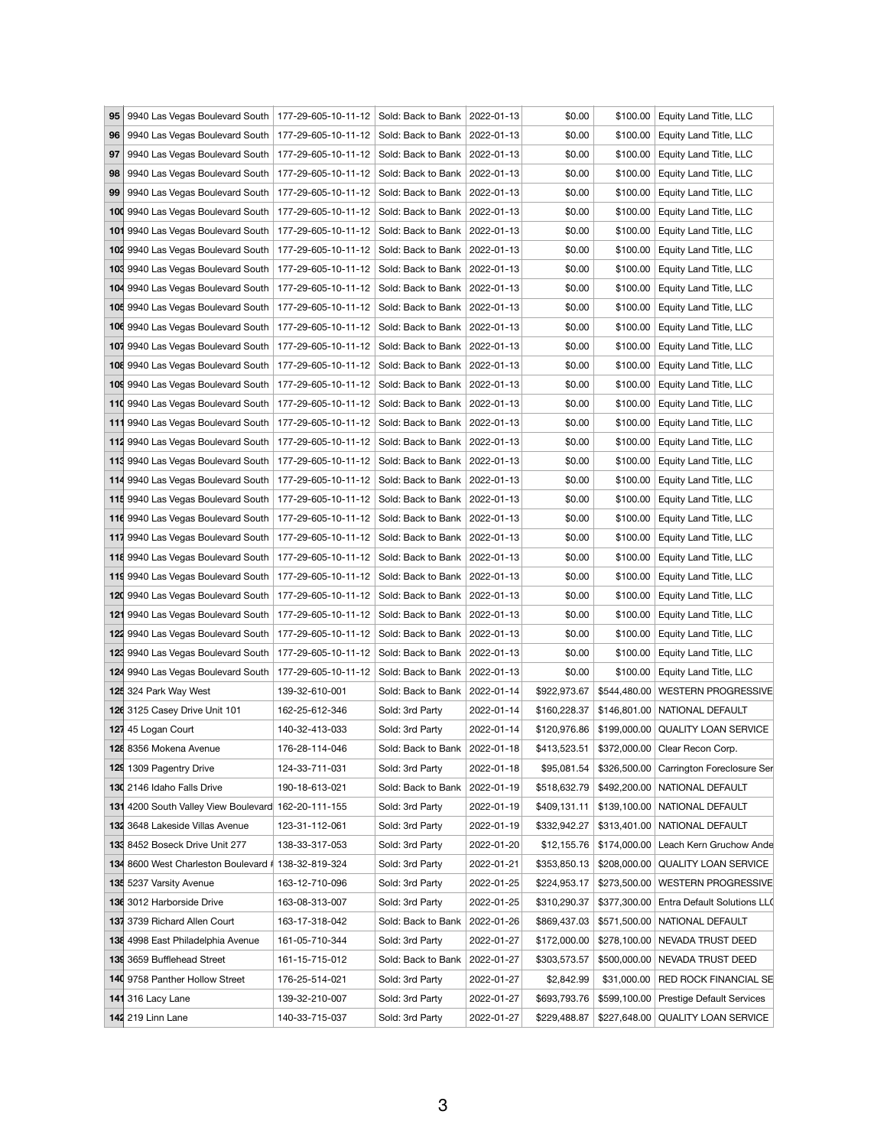| 9940 Las Vegas Boulevard South   177-29-605-10-11-12   Sold: Back to Bank   2022-01-13 |                                                                                                                |                                                                                                                                                                                                             |                     | \$0.00                                                                                                                                                                                                                                                                                                                                                                                                                                                                                                                                                                                                                                                                                                                                                                                                                                                                                                                                                                                                                                                                                                                                                                                                                                                                                                                                                                                                                                                                                                                                                                                                                                                                                                                                                                                                                                                                                                                                                                                                                                                                                                                                                                                                                                                                                                                                                                |                                                                                                                                                                                                            | \$100.00 Equity Land Title, LLC                                                                                                                                                                                                                                      |
|----------------------------------------------------------------------------------------|----------------------------------------------------------------------------------------------------------------|-------------------------------------------------------------------------------------------------------------------------------------------------------------------------------------------------------------|---------------------|-----------------------------------------------------------------------------------------------------------------------------------------------------------------------------------------------------------------------------------------------------------------------------------------------------------------------------------------------------------------------------------------------------------------------------------------------------------------------------------------------------------------------------------------------------------------------------------------------------------------------------------------------------------------------------------------------------------------------------------------------------------------------------------------------------------------------------------------------------------------------------------------------------------------------------------------------------------------------------------------------------------------------------------------------------------------------------------------------------------------------------------------------------------------------------------------------------------------------------------------------------------------------------------------------------------------------------------------------------------------------------------------------------------------------------------------------------------------------------------------------------------------------------------------------------------------------------------------------------------------------------------------------------------------------------------------------------------------------------------------------------------------------------------------------------------------------------------------------------------------------------------------------------------------------------------------------------------------------------------------------------------------------------------------------------------------------------------------------------------------------------------------------------------------------------------------------------------------------------------------------------------------------------------------------------------------------------------------------------------------------|------------------------------------------------------------------------------------------------------------------------------------------------------------------------------------------------------------|----------------------------------------------------------------------------------------------------------------------------------------------------------------------------------------------------------------------------------------------------------------------|
|                                                                                        |                                                                                                                |                                                                                                                                                                                                             |                     | \$0.00                                                                                                                                                                                                                                                                                                                                                                                                                                                                                                                                                                                                                                                                                                                                                                                                                                                                                                                                                                                                                                                                                                                                                                                                                                                                                                                                                                                                                                                                                                                                                                                                                                                                                                                                                                                                                                                                                                                                                                                                                                                                                                                                                                                                                                                                                                                                                                | \$100.00                                                                                                                                                                                                   | Equity Land Title, LLC                                                                                                                                                                                                                                               |
|                                                                                        |                                                                                                                |                                                                                                                                                                                                             |                     | \$0.00                                                                                                                                                                                                                                                                                                                                                                                                                                                                                                                                                                                                                                                                                                                                                                                                                                                                                                                                                                                                                                                                                                                                                                                                                                                                                                                                                                                                                                                                                                                                                                                                                                                                                                                                                                                                                                                                                                                                                                                                                                                                                                                                                                                                                                                                                                                                                                |                                                                                                                                                                                                            | Equity Land Title, LLC                                                                                                                                                                                                                                               |
|                                                                                        |                                                                                                                |                                                                                                                                                                                                             |                     | \$0.00                                                                                                                                                                                                                                                                                                                                                                                                                                                                                                                                                                                                                                                                                                                                                                                                                                                                                                                                                                                                                                                                                                                                                                                                                                                                                                                                                                                                                                                                                                                                                                                                                                                                                                                                                                                                                                                                                                                                                                                                                                                                                                                                                                                                                                                                                                                                                                |                                                                                                                                                                                                            | Equity Land Title, LLC                                                                                                                                                                                                                                               |
| 9940 Las Vegas Boulevard South                                                         |                                                                                                                |                                                                                                                                                                                                             |                     | \$0.00                                                                                                                                                                                                                                                                                                                                                                                                                                                                                                                                                                                                                                                                                                                                                                                                                                                                                                                                                                                                                                                                                                                                                                                                                                                                                                                                                                                                                                                                                                                                                                                                                                                                                                                                                                                                                                                                                                                                                                                                                                                                                                                                                                                                                                                                                                                                                                | \$100.00                                                                                                                                                                                                   | Equity Land Title, LLC                                                                                                                                                                                                                                               |
| 100 9940 Las Vegas Boulevard South                                                     |                                                                                                                |                                                                                                                                                                                                             |                     | \$0.00                                                                                                                                                                                                                                                                                                                                                                                                                                                                                                                                                                                                                                                                                                                                                                                                                                                                                                                                                                                                                                                                                                                                                                                                                                                                                                                                                                                                                                                                                                                                                                                                                                                                                                                                                                                                                                                                                                                                                                                                                                                                                                                                                                                                                                                                                                                                                                |                                                                                                                                                                                                            | <b>Equity Land Title, LLC</b>                                                                                                                                                                                                                                        |
| 101 9940 Las Vegas Boulevard South                                                     |                                                                                                                |                                                                                                                                                                                                             |                     | \$0.00                                                                                                                                                                                                                                                                                                                                                                                                                                                                                                                                                                                                                                                                                                                                                                                                                                                                                                                                                                                                                                                                                                                                                                                                                                                                                                                                                                                                                                                                                                                                                                                                                                                                                                                                                                                                                                                                                                                                                                                                                                                                                                                                                                                                                                                                                                                                                                |                                                                                                                                                                                                            | <b>Equity Land Title, LLC</b>                                                                                                                                                                                                                                        |
| 102 9940 Las Vegas Boulevard South                                                     |                                                                                                                |                                                                                                                                                                                                             |                     | \$0.00                                                                                                                                                                                                                                                                                                                                                                                                                                                                                                                                                                                                                                                                                                                                                                                                                                                                                                                                                                                                                                                                                                                                                                                                                                                                                                                                                                                                                                                                                                                                                                                                                                                                                                                                                                                                                                                                                                                                                                                                                                                                                                                                                                                                                                                                                                                                                                | \$100.00                                                                                                                                                                                                   | <b>Equity Land Title, LLC</b>                                                                                                                                                                                                                                        |
|                                                                                        |                                                                                                                |                                                                                                                                                                                                             |                     |                                                                                                                                                                                                                                                                                                                                                                                                                                                                                                                                                                                                                                                                                                                                                                                                                                                                                                                                                                                                                                                                                                                                                                                                                                                                                                                                                                                                                                                                                                                                                                                                                                                                                                                                                                                                                                                                                                                                                                                                                                                                                                                                                                                                                                                                                                                                                                       |                                                                                                                                                                                                            | <b>Equity Land Title, LLC</b>                                                                                                                                                                                                                                        |
|                                                                                        |                                                                                                                |                                                                                                                                                                                                             |                     |                                                                                                                                                                                                                                                                                                                                                                                                                                                                                                                                                                                                                                                                                                                                                                                                                                                                                                                                                                                                                                                                                                                                                                                                                                                                                                                                                                                                                                                                                                                                                                                                                                                                                                                                                                                                                                                                                                                                                                                                                                                                                                                                                                                                                                                                                                                                                                       |                                                                                                                                                                                                            | Equity Land Title, LLC                                                                                                                                                                                                                                               |
|                                                                                        |                                                                                                                |                                                                                                                                                                                                             |                     |                                                                                                                                                                                                                                                                                                                                                                                                                                                                                                                                                                                                                                                                                                                                                                                                                                                                                                                                                                                                                                                                                                                                                                                                                                                                                                                                                                                                                                                                                                                                                                                                                                                                                                                                                                                                                                                                                                                                                                                                                                                                                                                                                                                                                                                                                                                                                                       |                                                                                                                                                                                                            | Equity Land Title, LLC                                                                                                                                                                                                                                               |
|                                                                                        |                                                                                                                |                                                                                                                                                                                                             |                     |                                                                                                                                                                                                                                                                                                                                                                                                                                                                                                                                                                                                                                                                                                                                                                                                                                                                                                                                                                                                                                                                                                                                                                                                                                                                                                                                                                                                                                                                                                                                                                                                                                                                                                                                                                                                                                                                                                                                                                                                                                                                                                                                                                                                                                                                                                                                                                       |                                                                                                                                                                                                            | <b>Equity Land Title, LLC</b>                                                                                                                                                                                                                                        |
|                                                                                        |                                                                                                                |                                                                                                                                                                                                             |                     |                                                                                                                                                                                                                                                                                                                                                                                                                                                                                                                                                                                                                                                                                                                                                                                                                                                                                                                                                                                                                                                                                                                                                                                                                                                                                                                                                                                                                                                                                                                                                                                                                                                                                                                                                                                                                                                                                                                                                                                                                                                                                                                                                                                                                                                                                                                                                                       |                                                                                                                                                                                                            | Equity Land Title, LLC                                                                                                                                                                                                                                               |
|                                                                                        |                                                                                                                |                                                                                                                                                                                                             |                     |                                                                                                                                                                                                                                                                                                                                                                                                                                                                                                                                                                                                                                                                                                                                                                                                                                                                                                                                                                                                                                                                                                                                                                                                                                                                                                                                                                                                                                                                                                                                                                                                                                                                                                                                                                                                                                                                                                                                                                                                                                                                                                                                                                                                                                                                                                                                                                       |                                                                                                                                                                                                            | <b>Equity Land Title, LLC</b>                                                                                                                                                                                                                                        |
|                                                                                        |                                                                                                                |                                                                                                                                                                                                             |                     |                                                                                                                                                                                                                                                                                                                                                                                                                                                                                                                                                                                                                                                                                                                                                                                                                                                                                                                                                                                                                                                                                                                                                                                                                                                                                                                                                                                                                                                                                                                                                                                                                                                                                                                                                                                                                                                                                                                                                                                                                                                                                                                                                                                                                                                                                                                                                                       |                                                                                                                                                                                                            | Equity Land Title, LLC                                                                                                                                                                                                                                               |
|                                                                                        |                                                                                                                |                                                                                                                                                                                                             |                     |                                                                                                                                                                                                                                                                                                                                                                                                                                                                                                                                                                                                                                                                                                                                                                                                                                                                                                                                                                                                                                                                                                                                                                                                                                                                                                                                                                                                                                                                                                                                                                                                                                                                                                                                                                                                                                                                                                                                                                                                                                                                                                                                                                                                                                                                                                                                                                       |                                                                                                                                                                                                            | Equity Land Title, LLC                                                                                                                                                                                                                                               |
|                                                                                        |                                                                                                                |                                                                                                                                                                                                             |                     |                                                                                                                                                                                                                                                                                                                                                                                                                                                                                                                                                                                                                                                                                                                                                                                                                                                                                                                                                                                                                                                                                                                                                                                                                                                                                                                                                                                                                                                                                                                                                                                                                                                                                                                                                                                                                                                                                                                                                                                                                                                                                                                                                                                                                                                                                                                                                                       |                                                                                                                                                                                                            | Equity Land Title, LLC                                                                                                                                                                                                                                               |
|                                                                                        |                                                                                                                |                                                                                                                                                                                                             |                     |                                                                                                                                                                                                                                                                                                                                                                                                                                                                                                                                                                                                                                                                                                                                                                                                                                                                                                                                                                                                                                                                                                                                                                                                                                                                                                                                                                                                                                                                                                                                                                                                                                                                                                                                                                                                                                                                                                                                                                                                                                                                                                                                                                                                                                                                                                                                                                       |                                                                                                                                                                                                            | Equity Land Title, LLC                                                                                                                                                                                                                                               |
|                                                                                        |                                                                                                                |                                                                                                                                                                                                             |                     |                                                                                                                                                                                                                                                                                                                                                                                                                                                                                                                                                                                                                                                                                                                                                                                                                                                                                                                                                                                                                                                                                                                                                                                                                                                                                                                                                                                                                                                                                                                                                                                                                                                                                                                                                                                                                                                                                                                                                                                                                                                                                                                                                                                                                                                                                                                                                                       |                                                                                                                                                                                                            | Equity Land Title, LLC                                                                                                                                                                                                                                               |
|                                                                                        |                                                                                                                |                                                                                                                                                                                                             |                     |                                                                                                                                                                                                                                                                                                                                                                                                                                                                                                                                                                                                                                                                                                                                                                                                                                                                                                                                                                                                                                                                                                                                                                                                                                                                                                                                                                                                                                                                                                                                                                                                                                                                                                                                                                                                                                                                                                                                                                                                                                                                                                                                                                                                                                                                                                                                                                       |                                                                                                                                                                                                            |                                                                                                                                                                                                                                                                      |
|                                                                                        |                                                                                                                |                                                                                                                                                                                                             |                     |                                                                                                                                                                                                                                                                                                                                                                                                                                                                                                                                                                                                                                                                                                                                                                                                                                                                                                                                                                                                                                                                                                                                                                                                                                                                                                                                                                                                                                                                                                                                                                                                                                                                                                                                                                                                                                                                                                                                                                                                                                                                                                                                                                                                                                                                                                                                                                       |                                                                                                                                                                                                            | Equity Land Title, LLC                                                                                                                                                                                                                                               |
|                                                                                        |                                                                                                                |                                                                                                                                                                                                             |                     |                                                                                                                                                                                                                                                                                                                                                                                                                                                                                                                                                                                                                                                                                                                                                                                                                                                                                                                                                                                                                                                                                                                                                                                                                                                                                                                                                                                                                                                                                                                                                                                                                                                                                                                                                                                                                                                                                                                                                                                                                                                                                                                                                                                                                                                                                                                                                                       |                                                                                                                                                                                                            | Equity Land Title, LLC                                                                                                                                                                                                                                               |
|                                                                                        |                                                                                                                |                                                                                                                                                                                                             |                     |                                                                                                                                                                                                                                                                                                                                                                                                                                                                                                                                                                                                                                                                                                                                                                                                                                                                                                                                                                                                                                                                                                                                                                                                                                                                                                                                                                                                                                                                                                                                                                                                                                                                                                                                                                                                                                                                                                                                                                                                                                                                                                                                                                                                                                                                                                                                                                       |                                                                                                                                                                                                            | Equity Land Title, LLC                                                                                                                                                                                                                                               |
|                                                                                        |                                                                                                                |                                                                                                                                                                                                             |                     |                                                                                                                                                                                                                                                                                                                                                                                                                                                                                                                                                                                                                                                                                                                                                                                                                                                                                                                                                                                                                                                                                                                                                                                                                                                                                                                                                                                                                                                                                                                                                                                                                                                                                                                                                                                                                                                                                                                                                                                                                                                                                                                                                                                                                                                                                                                                                                       |                                                                                                                                                                                                            | \$100.00 Equity Land Title, LLC                                                                                                                                                                                                                                      |
|                                                                                        |                                                                                                                |                                                                                                                                                                                                             |                     |                                                                                                                                                                                                                                                                                                                                                                                                                                                                                                                                                                                                                                                                                                                                                                                                                                                                                                                                                                                                                                                                                                                                                                                                                                                                                                                                                                                                                                                                                                                                                                                                                                                                                                                                                                                                                                                                                                                                                                                                                                                                                                                                                                                                                                                                                                                                                                       |                                                                                                                                                                                                            | \$100.00 Equity Land Title, LLC                                                                                                                                                                                                                                      |
|                                                                                        |                                                                                                                |                                                                                                                                                                                                             |                     |                                                                                                                                                                                                                                                                                                                                                                                                                                                                                                                                                                                                                                                                                                                                                                                                                                                                                                                                                                                                                                                                                                                                                                                                                                                                                                                                                                                                                                                                                                                                                                                                                                                                                                                                                                                                                                                                                                                                                                                                                                                                                                                                                                                                                                                                                                                                                                       |                                                                                                                                                                                                            | Equity Land Title, LLC                                                                                                                                                                                                                                               |
|                                                                                        |                                                                                                                |                                                                                                                                                                                                             |                     |                                                                                                                                                                                                                                                                                                                                                                                                                                                                                                                                                                                                                                                                                                                                                                                                                                                                                                                                                                                                                                                                                                                                                                                                                                                                                                                                                                                                                                                                                                                                                                                                                                                                                                                                                                                                                                                                                                                                                                                                                                                                                                                                                                                                                                                                                                                                                                       |                                                                                                                                                                                                            | Equity Land Title, LLC                                                                                                                                                                                                                                               |
|                                                                                        |                                                                                                                |                                                                                                                                                                                                             |                     |                                                                                                                                                                                                                                                                                                                                                                                                                                                                                                                                                                                                                                                                                                                                                                                                                                                                                                                                                                                                                                                                                                                                                                                                                                                                                                                                                                                                                                                                                                                                                                                                                                                                                                                                                                                                                                                                                                                                                                                                                                                                                                                                                                                                                                                                                                                                                                       |                                                                                                                                                                                                            | Equity Land Title, LLC                                                                                                                                                                                                                                               |
| 122 9940 Las Vegas Boulevard South                                                     |                                                                                                                |                                                                                                                                                                                                             |                     | \$0.00                                                                                                                                                                                                                                                                                                                                                                                                                                                                                                                                                                                                                                                                                                                                                                                                                                                                                                                                                                                                                                                                                                                                                                                                                                                                                                                                                                                                                                                                                                                                                                                                                                                                                                                                                                                                                                                                                                                                                                                                                                                                                                                                                                                                                                                                                                                                                                | \$100.00                                                                                                                                                                                                   | Equity Land Title, LLC                                                                                                                                                                                                                                               |
|                                                                                        |                                                                                                                |                                                                                                                                                                                                             |                     | \$0.00                                                                                                                                                                                                                                                                                                                                                                                                                                                                                                                                                                                                                                                                                                                                                                                                                                                                                                                                                                                                                                                                                                                                                                                                                                                                                                                                                                                                                                                                                                                                                                                                                                                                                                                                                                                                                                                                                                                                                                                                                                                                                                                                                                                                                                                                                                                                                                |                                                                                                                                                                                                            | Equity Land Title, LLC                                                                                                                                                                                                                                               |
|                                                                                        |                                                                                                                |                                                                                                                                                                                                             |                     | \$0.00                                                                                                                                                                                                                                                                                                                                                                                                                                                                                                                                                                                                                                                                                                                                                                                                                                                                                                                                                                                                                                                                                                                                                                                                                                                                                                                                                                                                                                                                                                                                                                                                                                                                                                                                                                                                                                                                                                                                                                                                                                                                                                                                                                                                                                                                                                                                                                |                                                                                                                                                                                                            | \$100.00 Equity Land Title, LLC                                                                                                                                                                                                                                      |
| 125 324 Park Way West                                                                  | 139-32-610-001                                                                                                 |                                                                                                                                                                                                             |                     | \$922,973.67                                                                                                                                                                                                                                                                                                                                                                                                                                                                                                                                                                                                                                                                                                                                                                                                                                                                                                                                                                                                                                                                                                                                                                                                                                                                                                                                                                                                                                                                                                                                                                                                                                                                                                                                                                                                                                                                                                                                                                                                                                                                                                                                                                                                                                                                                                                                                          |                                                                                                                                                                                                            | \$544,480.00 WESTERN PROGRESSIVE                                                                                                                                                                                                                                     |
| 126 3125 Casey Drive Unit 101                                                          | 162-25-612-346                                                                                                 | Sold: 3rd Party                                                                                                                                                                                             | 2022-01-14          | \$160,228.37                                                                                                                                                                                                                                                                                                                                                                                                                                                                                                                                                                                                                                                                                                                                                                                                                                                                                                                                                                                                                                                                                                                                                                                                                                                                                                                                                                                                                                                                                                                                                                                                                                                                                                                                                                                                                                                                                                                                                                                                                                                                                                                                                                                                                                                                                                                                                          |                                                                                                                                                                                                            | \$146,801.00 NATIONAL DEFAULT                                                                                                                                                                                                                                        |
| 127 45 Logan Court                                                                     | 140-32-413-033                                                                                                 | Sold: 3rd Party                                                                                                                                                                                             | 2022-01-14          | \$120,976.86                                                                                                                                                                                                                                                                                                                                                                                                                                                                                                                                                                                                                                                                                                                                                                                                                                                                                                                                                                                                                                                                                                                                                                                                                                                                                                                                                                                                                                                                                                                                                                                                                                                                                                                                                                                                                                                                                                                                                                                                                                                                                                                                                                                                                                                                                                                                                          |                                                                                                                                                                                                            | \$199,000.00 QUALITY LOAN SERVICE                                                                                                                                                                                                                                    |
| 128 8356 Mokena Avenue                                                                 | 176-28-114-046                                                                                                 |                                                                                                                                                                                                             | 2022-01-18          | \$413,523.51                                                                                                                                                                                                                                                                                                                                                                                                                                                                                                                                                                                                                                                                                                                                                                                                                                                                                                                                                                                                                                                                                                                                                                                                                                                                                                                                                                                                                                                                                                                                                                                                                                                                                                                                                                                                                                                                                                                                                                                                                                                                                                                                                                                                                                                                                                                                                          |                                                                                                                                                                                                            | \$372,000.00 Clear Recon Corp.                                                                                                                                                                                                                                       |
| 129 1309 Pagentry Drive                                                                | 124-33-711-031                                                                                                 | Sold: 3rd Party                                                                                                                                                                                             | 2022-01-18          | \$95,081.54                                                                                                                                                                                                                                                                                                                                                                                                                                                                                                                                                                                                                                                                                                                                                                                                                                                                                                                                                                                                                                                                                                                                                                                                                                                                                                                                                                                                                                                                                                                                                                                                                                                                                                                                                                                                                                                                                                                                                                                                                                                                                                                                                                                                                                                                                                                                                           |                                                                                                                                                                                                            | \$326,500.00 Carrington Foreclosure Ser                                                                                                                                                                                                                              |
| 130 2146 Idaho Falls Drive                                                             | 190-18-613-021                                                                                                 |                                                                                                                                                                                                             | 2022-01-19          |                                                                                                                                                                                                                                                                                                                                                                                                                                                                                                                                                                                                                                                                                                                                                                                                                                                                                                                                                                                                                                                                                                                                                                                                                                                                                                                                                                                                                                                                                                                                                                                                                                                                                                                                                                                                                                                                                                                                                                                                                                                                                                                                                                                                                                                                                                                                                                       |                                                                                                                                                                                                            | \$492,200.00 NATIONAL DEFAULT                                                                                                                                                                                                                                        |
|                                                                                        |                                                                                                                | Sold: 3rd Party                                                                                                                                                                                             | 2022-01-19          | \$409,131.11                                                                                                                                                                                                                                                                                                                                                                                                                                                                                                                                                                                                                                                                                                                                                                                                                                                                                                                                                                                                                                                                                                                                                                                                                                                                                                                                                                                                                                                                                                                                                                                                                                                                                                                                                                                                                                                                                                                                                                                                                                                                                                                                                                                                                                                                                                                                                          |                                                                                                                                                                                                            | \$139,100.00 NATIONAL DEFAULT                                                                                                                                                                                                                                        |
| 132 3648 Lakeside Villas Avenue                                                        | 123-31-112-061                                                                                                 | Sold: 3rd Party                                                                                                                                                                                             | 2022-01-19          | \$332,942.27                                                                                                                                                                                                                                                                                                                                                                                                                                                                                                                                                                                                                                                                                                                                                                                                                                                                                                                                                                                                                                                                                                                                                                                                                                                                                                                                                                                                                                                                                                                                                                                                                                                                                                                                                                                                                                                                                                                                                                                                                                                                                                                                                                                                                                                                                                                                                          |                                                                                                                                                                                                            | \$313,401.00 NATIONAL DEFAULT                                                                                                                                                                                                                                        |
|                                                                                        |                                                                                                                |                                                                                                                                                                                                             |                     |                                                                                                                                                                                                                                                                                                                                                                                                                                                                                                                                                                                                                                                                                                                                                                                                                                                                                                                                                                                                                                                                                                                                                                                                                                                                                                                                                                                                                                                                                                                                                                                                                                                                                                                                                                                                                                                                                                                                                                                                                                                                                                                                                                                                                                                                                                                                                                       |                                                                                                                                                                                                            |                                                                                                                                                                                                                                                                      |
| 133 8452 Boseck Drive Unit 277                                                         | 138-33-317-053                                                                                                 | Sold: 3rd Party                                                                                                                                                                                             | 2022-01-20          | \$12,155.76                                                                                                                                                                                                                                                                                                                                                                                                                                                                                                                                                                                                                                                                                                                                                                                                                                                                                                                                                                                                                                                                                                                                                                                                                                                                                                                                                                                                                                                                                                                                                                                                                                                                                                                                                                                                                                                                                                                                                                                                                                                                                                                                                                                                                                                                                                                                                           |                                                                                                                                                                                                            | \$174,000.00 Leach Kern Gruchow Ande                                                                                                                                                                                                                                 |
| 134 8600 West Charleston Boulevard # 138-32-819-324                                    |                                                                                                                | Sold: 3rd Party                                                                                                                                                                                             | 2022-01-21          | \$353,850.13                                                                                                                                                                                                                                                                                                                                                                                                                                                                                                                                                                                                                                                                                                                                                                                                                                                                                                                                                                                                                                                                                                                                                                                                                                                                                                                                                                                                                                                                                                                                                                                                                                                                                                                                                                                                                                                                                                                                                                                                                                                                                                                                                                                                                                                                                                                                                          |                                                                                                                                                                                                            | \$208,000.00 QUALITY LOAN SERVICE                                                                                                                                                                                                                                    |
| 135 5237 Varsity Avenue                                                                | 163-12-710-096                                                                                                 | Sold: 3rd Party                                                                                                                                                                                             | 2022-01-25          | \$224,953.17                                                                                                                                                                                                                                                                                                                                                                                                                                                                                                                                                                                                                                                                                                                                                                                                                                                                                                                                                                                                                                                                                                                                                                                                                                                                                                                                                                                                                                                                                                                                                                                                                                                                                                                                                                                                                                                                                                                                                                                                                                                                                                                                                                                                                                                                                                                                                          |                                                                                                                                                                                                            | \$273,500.00 WESTERN PROGRESSIVE                                                                                                                                                                                                                                     |
| 136 3012 Harborside Drive                                                              | 163-08-313-007                                                                                                 | Sold: 3rd Party                                                                                                                                                                                             | 2022-01-25          | \$310,290.37                                                                                                                                                                                                                                                                                                                                                                                                                                                                                                                                                                                                                                                                                                                                                                                                                                                                                                                                                                                                                                                                                                                                                                                                                                                                                                                                                                                                                                                                                                                                                                                                                                                                                                                                                                                                                                                                                                                                                                                                                                                                                                                                                                                                                                                                                                                                                          |                                                                                                                                                                                                            | \$377,300.00 Entra Default Solutions LLO                                                                                                                                                                                                                             |
| 137 3739 Richard Allen Court                                                           | 163-17-318-042                                                                                                 | Sold: Back to Bank                                                                                                                                                                                          | 2022-01-26          | \$869,437.03                                                                                                                                                                                                                                                                                                                                                                                                                                                                                                                                                                                                                                                                                                                                                                                                                                                                                                                                                                                                                                                                                                                                                                                                                                                                                                                                                                                                                                                                                                                                                                                                                                                                                                                                                                                                                                                                                                                                                                                                                                                                                                                                                                                                                                                                                                                                                          |                                                                                                                                                                                                            | \$571,500.00 NATIONAL DEFAULT                                                                                                                                                                                                                                        |
| 138 4998 East Philadelphia Avenue                                                      | 161-05-710-344                                                                                                 | Sold: 3rd Party                                                                                                                                                                                             | 2022-01-27          | \$172,000.00                                                                                                                                                                                                                                                                                                                                                                                                                                                                                                                                                                                                                                                                                                                                                                                                                                                                                                                                                                                                                                                                                                                                                                                                                                                                                                                                                                                                                                                                                                                                                                                                                                                                                                                                                                                                                                                                                                                                                                                                                                                                                                                                                                                                                                                                                                                                                          |                                                                                                                                                                                                            | \$278,100.00 NEVADA TRUST DEED                                                                                                                                                                                                                                       |
| 139 3659 Bufflehead Street                                                             | 161-15-715-012                                                                                                 | Sold: Back to Bank   2022-01-27                                                                                                                                                                             |                     | \$303,573.57                                                                                                                                                                                                                                                                                                                                                                                                                                                                                                                                                                                                                                                                                                                                                                                                                                                                                                                                                                                                                                                                                                                                                                                                                                                                                                                                                                                                                                                                                                                                                                                                                                                                                                                                                                                                                                                                                                                                                                                                                                                                                                                                                                                                                                                                                                                                                          |                                                                                                                                                                                                            | \$500,000.00 NEVADA TRUST DEED                                                                                                                                                                                                                                       |
| 140 9758 Panther Hollow Street                                                         | 176-25-514-021                                                                                                 | Sold: 3rd Party                                                                                                                                                                                             | 2022-01-27          | \$2,842.99                                                                                                                                                                                                                                                                                                                                                                                                                                                                                                                                                                                                                                                                                                                                                                                                                                                                                                                                                                                                                                                                                                                                                                                                                                                                                                                                                                                                                                                                                                                                                                                                                                                                                                                                                                                                                                                                                                                                                                                                                                                                                                                                                                                                                                                                                                                                                            | \$31,000.00                                                                                                                                                                                                | <b>RED ROCK FINANCIAL SE</b>                                                                                                                                                                                                                                         |
| <b>141 316 Lacy Lane</b>                                                               | 139-32-210-007                                                                                                 | Sold: 3rd Party                                                                                                                                                                                             | 2022-01-27          | \$693,793.76                                                                                                                                                                                                                                                                                                                                                                                                                                                                                                                                                                                                                                                                                                                                                                                                                                                                                                                                                                                                                                                                                                                                                                                                                                                                                                                                                                                                                                                                                                                                                                                                                                                                                                                                                                                                                                                                                                                                                                                                                                                                                                                                                                                                                                                                                                                                                          |                                                                                                                                                                                                            | \$599,100.00 Prestige Default Services                                                                                                                                                                                                                               |
|                                                                                        | 108 9940 Las Vegas Boulevard South<br>111 9940 Las Vegas Boulevard South<br>112 9940 Las Vegas Boulevard South | 104 9940 Las Vegas Boulevard South<br>105 9940 Las Vegas Boulevard South<br>110 9940 Las Vegas Boulevard South<br>113 9940 Las Vegas Boulevard South<br>131 4200 South Valley View Boulevard 162-20-111-155 | 177-29-605-10-11-12 | 9940 Las Vegas Boulevard South   177-29-605-10-11-12   Sold: Back to Bank   2022-01-13<br>9940 Las Vegas Boulevard South   177-29-605-10-11-12   Sold: Back to Bank   2022-01-13<br>9940 Las Vegas Boulevard South   177-29-605-10-11-12   Sold: Back to Bank   2022-01-13<br>177-29-605-10-11-12 Sold: Back to Bank 2022-01-13<br>177-29-605-10-11-12 Sold: Back to Bank 2022-01-13<br>177-29-605-10-11-12   Sold: Back to Bank   2022-01-13<br>177-29-605-10-11-12 Sold: Back to Bank 2022-01-13<br>103 9940 Las Vegas Boulevard South   177-29-605-10-11-12 Sold: Back to Bank   2022-01-13<br>177-29-605-10-11-12   Sold: Back to Bank   2022-01-13<br>177-29-605-10-11-12   Sold: Back to Bank   2022-01-13<br>106 9940 Las Vegas Boulevard South 177-29-605-10-11-12 Sold: Back to Bank 2022-01-13<br>107 9940 Las Vegas Boulevard South   177-29-605-10-11-12 Sold: Back to Bank 2022-01-13<br>177-29-605-10-11-12 Sold: Back to Bank 2022-01-13<br>109 9940 Las Vegas Boulevard South   177-29-605-10-11-12   Sold: Back to Bank   2022-01-13<br>177-29-605-10-11-12   Sold: Back to Bank   2022-01-13<br>177-29-605-10-11-12 Sold: Back to Bank 2022-01-13<br>177-29-605-10-11-12   Sold: Back to Bank   2022-01-13<br>177-29-605-10-11-12 Sold: Back to Bank 2022-01-13<br>114 9940 Las Vegas Boulevard South   177-29-605-10-11-12 Sold: Back to Bank 2022-01-13<br>115 9940 Las Vegas Boulevard South   177-29-605-10-11-12 Sold: Back to Bank   2022-01-13<br>116 9940 Las Vegas Boulevard South   177-29-605-10-11-12   Sold: Back to Bank   2022-01-13<br>117 9940 Las Vegas Boulevard South   177-29-605-10-11-12   Sold: Back to Bank   2022-01-13<br>118 9940 Las Vegas Boulevard South   177-29-605-10-11-12 Sold: Back to Bank 2022-01-13<br>119 9940 Las Vegas Boulevard South   177-29-605-10-11-12   Sold: Back to Bank   2022-01-13<br>120 9940 Las Vegas Boulevard South   177-29-605-10-11-12   Sold: Back to Bank   2022-01-13<br>121 9940 Las Vegas Boulevard South   177-29-605-10-11-12   Sold: Back to Bank   2022-01-13<br>Sold: Back to Bank   2022-01-13<br>123 9940 Las Vegas Boulevard South   177-29-605-10-11-12   Sold: Back to Bank   2022-01-13<br>124 9940 Las Vegas Boulevard South   177-29-605-10-11-12   Sold: Back to Bank   2022-01-13<br>Sold: Back to Bank   2022-01-14<br>Sold: Back to Bank<br>Sold: Back to Bank | \$0.00<br>\$0.00<br>\$0.00<br>\$0.00<br>\$0.00<br>\$0.00<br>\$0.00<br>\$0.00<br>\$0.00<br>\$0.00<br>\$0.00<br>\$0.00<br>\$0.00<br>\$0.00<br>\$0.00<br>\$0.00<br>\$0.00<br>\$0.00<br>\$0.00<br>\$518,632.79 | \$100.00<br>\$100.00<br>\$100.00<br>\$100.00<br>\$100.00<br>\$100.00<br>\$100.00<br>\$100.00<br>\$100.00<br>\$100.00<br>\$100.00<br>\$100.00<br>\$100.00<br>\$100.00<br>\$100.00<br>\$100.00<br>\$100.00<br>\$100.00<br>\$100.00<br>\$100.00<br>\$100.00<br>\$100.00 |